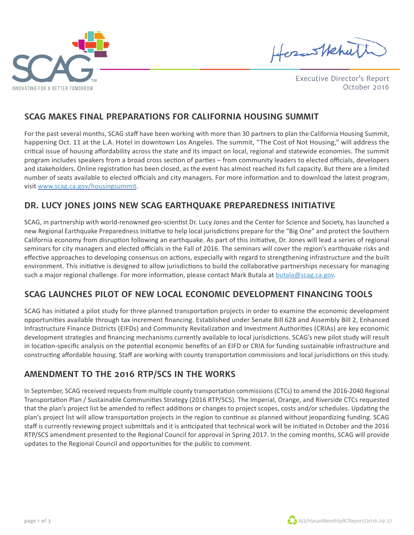

HosasHehut

Executive Director's Report October 2016

### **SCAG MAKES FINAL PREPARATIONS FOR CALIFORNIA HOUSING SUMMIT**

For the past several months, SCAG staff have been working with more than 30 partners to plan the California Housing Summit, happening Oct. 11 at the L.A. Hotel in downtown Los Angeles. The summit, "The Cost of Not Housing," will address the critical issue of housing affordability across the state and its impact on local, regional and statewide economies. The summit program includes speakers from a broad cross section of parties – from community leaders to elected officials, developers and stakeholders. Online registration has been closed, as the event has almost reached its full capacity. But there are a limited number of seats available to elected officials and city managers. For more information and to download the latest program, visit www.scag.ca.gov/housingsummit.

## **DR. LUCY JONES JOINS NEW SCAG EARTHQUAKE PREPAREDNESS INITIATIVE**

SCAG, in partnership with world-renowned geo-scientist Dr. Lucy Jones and the Center for Science and Society, has launched a new Regional Earthquake Preparedness Initiative to help local jurisdictions prepare for the "Big One" and protect the Southern California economy from disruption following an earthquake. As part of this initiative, Dr. Jones will lead a series of regional seminars for city managers and elected officials in the Fall of 2016. The seminars will cover the region's earthquake risks and effective approaches to developing consensus on actions, especially with regard to strengthening infrastructure and the built environment. This initiative is designed to allow jurisdictions to build the collaborative partnerships necessary for managing such a major regional challenge. For more information, please contact Mark Butala at butala@scag.ca.gov.

# **SCAG LAUNCHES PILOT OF NEW LOCAL ECONOMIC DEVELOPMENT FINANCING TOOLS**

SCAG has initiated a pilot study for three planned transportation projects in order to examine the economic development opportunities available through tax increment financing. Established under Senate Bill 628 and Assembly Bill 2, Enhanced Infrastructure Finance Districts (EIFDs) and Community Revitalization and Investment Authorities (CRIAs) are key economic development strategies and financing mechanisms currently available to local jurisdictions. SCAG's new pilot study will result in location-specific analysis on the potential economic benefits of an EIFD or CRIA for funding sustainable infrastructure and constructing affordable housing. Staff are working with county transportation commissions and local jurisdictions on this study.

# **AMENDMENT TO THE 2016 RTP/SCS IN THE WORKS**

In September, SCAG received requests from multiple county transportation commissions (CTCs) to amend the 2016-2040 Regional Transportation Plan / Sustainable Communities Strategy (2016 RTP/SCS). The Imperial, Orange, and Riverside CTCs requested that the plan's project list be amended to reflect additions or changes to project scopes, costs and/or schedules. Updating the plan's project list will allow transportation projects in the region to continue as planned without jeopardizing funding. SCAG staff is currently reviewing project submittals and it is anticipated that technical work will be initiated in October and the 2016 RTP/SCS amendment presented to the Regional Council for approval in Spring 2017. In the coming months, SCAG will provide updates to the Regional Council and opportunities for the public to comment.

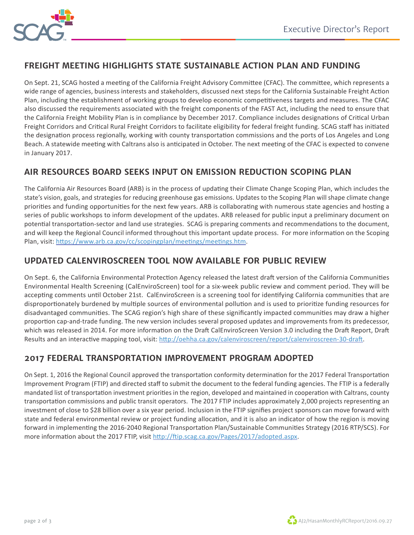

## **FREIGHT MEETING HIGHLIGHTS STATE SUSTAINABLE ACTION PLAN AND FUNDING**

On Sept. 21, SCAG hosted a meeting of the California Freight Advisory Committee (CFAC). The committee, which represents a wide range of agencies, business interests and stakeholders, discussed next steps for the California Sustainable Freight Action Plan, including the establishment of working groups to develop economic competitiveness targets and measures. The CFAC also discussed the requirements associated with the freight components of the FAST Act, including the need to ensure that the California Freight Mobility Plan is in compliance by December 2017. Compliance includes designations of Critical Urban Freight Corridors and Critical Rural Freight Corridors to facilitate eligibility for federal freight funding. SCAG staff has initiated the designation process regionally, working with county transportation commissions and the ports of Los Angeles and Long Beach. A statewide meeting with Caltrans also is anticipated in October. The next meeting of the CFAC is expected to convene in January 2017.

## **AIR RESOURCES BOARD SEEKS INPUT ON EMISSION REDUCTION SCOPING PLAN**

The California Air Resources Board (ARB) is in the process of updating their Climate Change Scoping Plan, which includes the state's vision, goals, and strategies for reducing greenhouse gas emissions. Updates to the Scoping Plan will shape climate change priorities and funding opportunities for the next few years. ARB is collaborating with numerous state agencies and hosting a series of public workshops to inform development of the updates. ARB released for public input a preliminary document on potential transportation-sector and land use strategies. SCAG is preparing comments and recommendations to the document, and will keep the Regional Council informed throughout this important update process. For more information on the Scoping Plan, visit: https://www.arb.ca.gov/cc/scopingplan/meetings/meetings.htm.

## **UPDATED CALENVIROSCREEN TOOL NOW AVAILABLE FOR PUBLIC REVIEW**

On Sept. 6, the California Environmental Protection Agency released the latest draft version of the California Communities Environmental Health Screening (CalEnviroScreen) tool for a six-week public review and comment period. They will be accepting comments until October 21st. CalEnviroScreen is a screening tool for identifying California communities that are disproportionately burdened by multiple sources of environmental pollution and is used to prioritize funding resources for disadvantaged communities. The SCAG region's high share of these significantly impacted communities may draw a higher proportion cap-and-trade funding. The new version includes several proposed updates and improvements from its predecessor, which was released in 2014. For more information on the Draft CalEnviroScreen Version 3.0 including the Draft Report, Draft Results and an interactive mapping tool, visit: http://oehha.ca.gov/calenviroscreen/report/calenviroscreen-30-draft.

### **2017 FEDERAL TRANSPORTATION IMPROVEMENT PROGRAM ADOPTED**

On Sept. 1, 2016 the Regional Council approved the transportation conformity determination for the 2017 Federal Transportation Improvement Program (FTIP) and directed staff to submit the document to the federal funding agencies. The FTIP is a federally mandated list of transportation investment priorities in the region, developed and maintained in cooperation with Caltrans, county transportation commissions and public transit operators. The 2017 FTIP includes approximately 2,000 projects representing an investment of close to \$28 billion over a six year period. Inclusion in the FTIP signifies project sponsors can move forward with state and federal environmental review or project funding allocation, and it is also an indicator of how the region is moving forward in implementing the 2016-2040 Regional Transportation Plan/Sustainable Communities Strategy (2016 RTP/SCS). For more information about the 2017 FTIP, visit http://ftip.scag.ca.gov/Pages/2017/adopted.aspx.